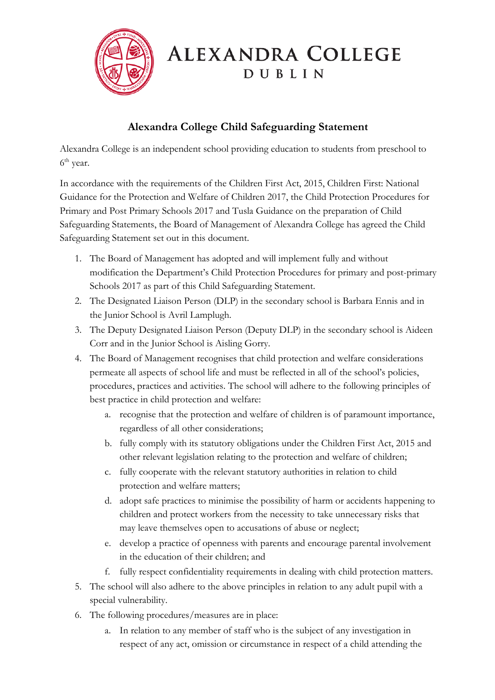

## **ALEXANDRA COLLEGE** DUBLIN

## **Alexandra College Child Safeguarding Statement**

Alexandra College is an independent school providing education to students from preschool to 6<sup>th</sup> year.

In accordance with the requirements of the Children First Act, 2015, Children First: National Guidance for the Protection and Welfare of Children 2017, the Child Protection Procedures for Primary and Post Primary Schools 2017 and Tusla Guidance on the preparation of Child Safeguarding Statements, the Board of Management of Alexandra College has agreed the Child Safeguarding Statement set out in this document.

- 1. The Board of Management has adopted and will implement fully and without modification the Department's Child Protection Procedures for primary and post-primary Schools 2017 as part of this Child Safeguarding Statement.
- 2. The Designated Liaison Person (DLP) in the secondary school is Barbara Ennis and in the Junior School is Avril Lamplugh.
- 3. The Deputy Designated Liaison Person (Deputy DLP) in the secondary school is Aideen Corr and in the Junior School is Aisling Gorry.
- 4. The Board of Management recognises that child protection and welfare considerations permeate all aspects of school life and must be reflected in all of the school's policies, procedures, practices and activities. The school will adhere to the following principles of best practice in child protection and welfare:
	- a. recognise that the protection and welfare of children is of paramount importance, regardless of all other considerations;
	- b. fully comply with its statutory obligations under the Children First Act, 2015 and other relevant legislation relating to the protection and welfare of children;
	- c. fully cooperate with the relevant statutory authorities in relation to child protection and welfare matters;
	- d. adopt safe practices to minimise the possibility of harm or accidents happening to children and protect workers from the necessity to take unnecessary risks that may leave themselves open to accusations of abuse or neglect;
	- e. develop a practice of openness with parents and encourage parental involvement in the education of their children; and
	- f. fully respect confidentiality requirements in dealing with child protection matters.
- 5. The school will also adhere to the above principles in relation to any adult pupil with a special vulnerability.
- 6. The following procedures/measures are in place:
	- a. In relation to any member of staff who is the subject of any investigation in respect of any act, omission or circumstance in respect of a child attending the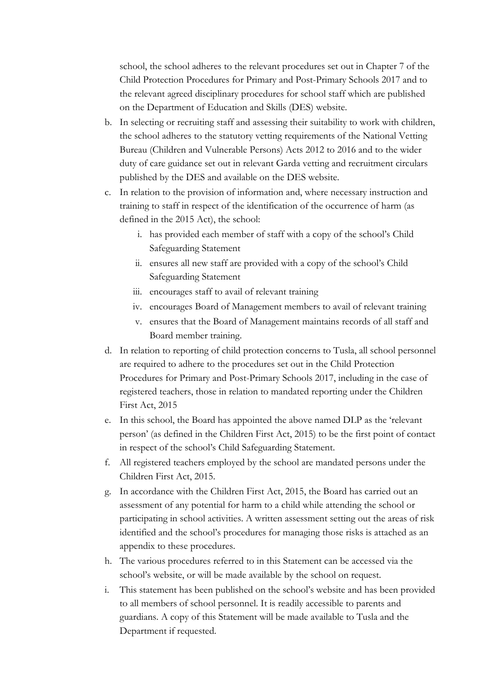school, the school adheres to the relevant procedures set out in Chapter 7 of the Child Protection Procedures for Primary and Post-Primary Schools 2017 and to the relevant agreed disciplinary procedures for school staff which are published on the Department of Education and Skills (DES) website.

- b. In selecting or recruiting staff and assessing their suitability to work with children, the school adheres to the statutory vetting requirements of the National Vetting Bureau (Children and Vulnerable Persons) Acts 2012 to 2016 and to the wider duty of care guidance set out in relevant Garda vetting and recruitment circulars published by the DES and available on the DES website.
- c. In relation to the provision of information and, where necessary instruction and training to staff in respect of the identification of the occurrence of harm (as defined in the 2015 Act), the school:
	- i. has provided each member of staff with a copy of the school's Child Safeguarding Statement
	- ii. ensures all new staff are provided with a copy of the school's Child Safeguarding Statement
	- iii. encourages staff to avail of relevant training
	- iv. encourages Board of Management members to avail of relevant training
	- v. ensures that the Board of Management maintains records of all staff and Board member training.
- d. In relation to reporting of child protection concerns to Tusla, all school personnel are required to adhere to the procedures set out in the Child Protection Procedures for Primary and Post-Primary Schools 2017, including in the case of registered teachers, those in relation to mandated reporting under the Children First Act, 2015
- e. In this school, the Board has appointed the above named DLP as the 'relevant person' (as defined in the Children First Act, 2015) to be the first point of contact in respect of the school's Child Safeguarding Statement.
- f. All registered teachers employed by the school are mandated persons under the Children First Act, 2015.
- g. In accordance with the Children First Act, 2015, the Board has carried out an assessment of any potential for harm to a child while attending the school or participating in school activities. A written assessment setting out the areas of risk identified and the school's procedures for managing those risks is attached as an appendix to these procedures.
- h. The various procedures referred to in this Statement can be accessed via the school's website, or will be made available by the school on request.
- i. This statement has been published on the school's website and has been provided to all members of school personnel. It is readily accessible to parents and guardians. A copy of this Statement will be made available to Tusla and the Department if requested.